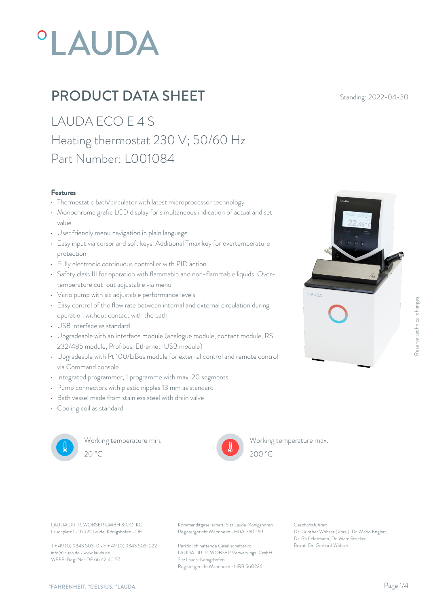# **°LAUDA**

## **PRODUCT DATA SHEET** Standing: 2022-04-30

LAUDA ECO E 4 S Heating thermostat 230 V; 50/60 Hz Part Number: L001084

#### Features

- Thermostatic bath/circulator with latest microprocessor technology
- Monochrome grafic LCD display for simultaneous indication of actual and set value
- User friendly menu navigation in plain language
- Easy input via cursor and soft keys. Additional Tmax key for overtemperature protection
- Fully electronic continuous controller with PID action
- Safety class III for operation with flammable and non-flammable liquids. Overtemperature cut-out adjustable via menu
- Vario pump with six adjustable performance levels
- Easy control of the flow rate between internal and external circulation during operation without contact with the bath
- USB interface as standard
- Upgradeable with an interface module (analogue module, contact module, RS 232/485 module, Profibus, Ethernet-USB module)
- Upgradeable with Pt 100/LiBus module for external control and remote control via Command console
- Integrated programmer, 1 programme with max. 20 segments
- Pump connectors with plastic nipples 13 mm as standard
- Bath vessel made from stainless steel with drain valve
- Cooling coil as standard



Working temperature min.



Working temperature max.



Laudaplatz 1 • 97922 Lauda-Königshofen • DE

T + 49 (0) 9343 503-0 • F + 49 (0) 9343 503-222 info@lauda.de • www.lauda.de WEEE-Reg-Nr.: DE 66 42 40 57

LAUDA DR. R. WOBSER GMBH & CO. KG Kommanditgesellschaft: Sitz Lauda-Königshofen Geschäftsführer: Registergericht Mannheim • HRA 560069

> Persönlich haftende Gesellschafterin: Beirat: Dr. Gerhard Wobse LAUDA DR. R. WOBSER Verwaltungs-GmbH Sitz Lauda-Königshofen Registergericht Mannheim • HRB 560226

Geschäftsführer: Dr. Gunther Wobser (Vors.), Dr. Mario Englert, Dr. Ralf Hermann, Dr. Marc Stricker

 $200\text{ °C}$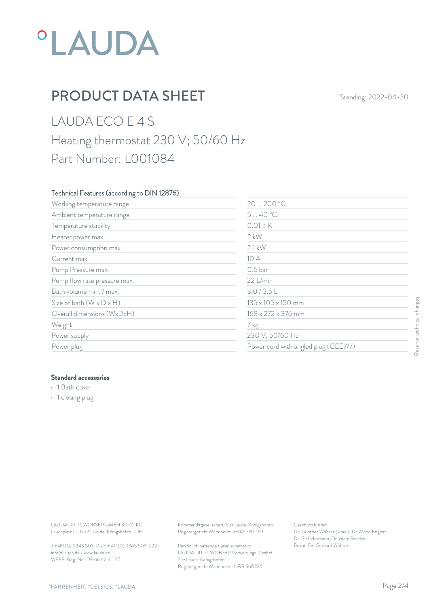# *°LAUDA*

## **PRODUCT DATA SHEET** Standing: 2022-04-30

## LAUDA ECO E 4 S Heating thermostat 230 V; 50/60 Hz Part Number: L001084

#### Technical Features (according to DIN 12876)

| Working temperature range                   | 20  200 °C                                                                             |                                                                                                           |                           |
|---------------------------------------------|----------------------------------------------------------------------------------------|-----------------------------------------------------------------------------------------------------------|---------------------------|
| Ambient temperature range                   | 540 °C                                                                                 |                                                                                                           |                           |
| Temperature stability                       | $0.01 \pm K$                                                                           |                                                                                                           |                           |
| Heater power max.                           | $2$ kW                                                                                 |                                                                                                           |                           |
| Power consumption max.                      | $2.1$ kW                                                                               |                                                                                                           |                           |
| Current max.                                | 10 A                                                                                   |                                                                                                           |                           |
| Pump Pressure max.                          | 0.6 <sub>bar</sub>                                                                     |                                                                                                           |                           |
| Pump flow rate pressure max.                | 22 L/min                                                                               |                                                                                                           |                           |
| Bath volume min. / max.                     | 3.0 / 3.5 L                                                                            |                                                                                                           |                           |
| Size of bath $(W \times D \times H)$        | 135 x 105 x 150 mm                                                                     |                                                                                                           |                           |
| Overall dimensions (WxDxH)                  | 168 x 272 x 376 mm                                                                     |                                                                                                           | Reserve technical changes |
| Weight                                      | 7 kg                                                                                   |                                                                                                           |                           |
| Power supply                                | 230 V; 50/60 Hz                                                                        |                                                                                                           |                           |
| Power plug                                  |                                                                                        | Power cord with angled plug (CEE7/7)                                                                      |                           |
| · 1 closing plug                            |                                                                                        |                                                                                                           |                           |
|                                             |                                                                                        |                                                                                                           |                           |
| LAUDA DR. R. WOBSER GMBH & CO. KG           |                                                                                        |                                                                                                           |                           |
| Laudaplatz 1 · 97922 Lauda-Königshofen · DE | Kommanditgesellschaft: Sitz Lauda-Königshofen<br>Registergericht Mannheim · HRA 560069 | Geschäftsführer:<br>Dr. Gunther Wobser (Vors.), Dr. Mario Englert,<br>Dr. Ralf Hermann, Dr. Marc Stricker |                           |

#### Standard accessories

- 1 Bath cover
- 1 closing plug

T + 49 (0) 9343 503-0 • F + 49 (0) 9343 503-222 info@lauda.de • www.lauda.de WEEE-Reg-Nr.: DE 66 42 40 57

> Persönlich haftende Gesellschafterin: Beirat: Dr. Gerhard Wobse LAUDA DR. R. WOBSER Verwaltungs-GmbH Sitz Lauda-Königshofen Registergericht Mannheim • HRB 560226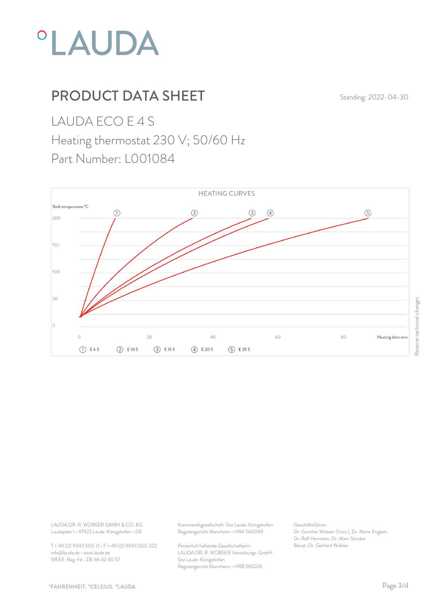

## **PRODUCT DATA SHEET** Standing: 2022-04-30

LAUDA ECO E 4 S

### Heating thermostat 230 V; 50/60 Hz

Part Number: L001084



T + 49 (0) 9343 503-0 • F + 49 (0) 9343 503-222 info@lauda.de • www.lauda.de WEEE-Reg-Nr.: DE 66 42 40 57

LAUDA DR. R. WOBSER GMBH & CO. KG Kommanditgesellschaft: Sitz Lauda-Königshofen Geschäftsführer: Registergericht Mannheim • HRA 560069

> Persönlich haftende Gesellschafterin: Beirat: Dr. Gerhard Wobse LAUDA DR. R. WOBSER Verwaltungs-GmbH Sitz Lauda-Königshofen Registergericht Mannheim • HRB 560226

Geschäftsführer: Dr. Gunther Wobser (Vors.), Dr. Mario Englert, Dr. Ralf Hermann, Dr. Marc Stricker